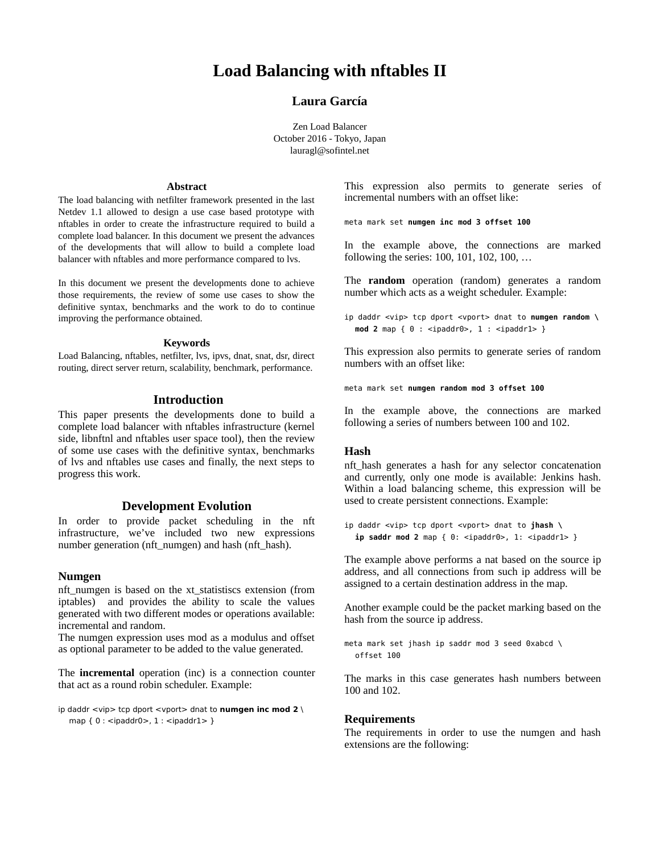# **Load Balancing with nftables II**

## **Laura García**

Zen Load Balancer October 2016 - Tokyo, Japan lauragl@sofintel.net

#### **Abstract**

The load balancing with netfilter framework presented in the last Netdev 1.1 allowed to design a use case based prototype with nftables in order to create the infrastructure required to build a complete load balancer. In this document we present the advances of the developments that will allow to build a complete load balancer with nftables and more performance compared to lvs.

In this document we present the developments done to achieve those requirements, the review of some use cases to show the definitive syntax, benchmarks and the work to do to continue improving the performance obtained.

#### **Keywords**

Load Balancing, nftables, netfilter, lvs, ipvs, dnat, snat, dsr, direct routing, direct server return, scalability, benchmark, performance.

### **Introduction**

This paper presents the developments done to build a complete load balancer with nftables infrastructure (kernel side, libnftnl and nftables user space tool), then the review of some use cases with the definitive syntax, benchmarks of lvs and nftables use cases and finally, the next steps to progress this work.

#### **Development Evolution**

In order to provide packet scheduling in the nft infrastructure, we've included two new expressions number generation (nft\_numgen) and hash (nft\_hash).

## **Numgen**

nft numgen is based on the xt statistiscs extension (from iptables) and provides the ability to scale the values generated with two different modes or operations available: incremental and random.

The numgen expression uses mod as a modulus and offset as optional parameter to be added to the value generated.

The **incremental** operation (inc) is a connection counter that act as a round robin scheduler. Example:

```
ip daddr \langlevip> tcp dport \langlevport> dnat to numgen inc mod 2
   map \{ 0 : <i>ipaddr0</i> > 1 : <i>ipaddr1</i> > 1
```
This expression also permits to generate series of incremental numbers with an offset like:

meta mark set **numgen inc mod 3 offset 100**

In the example above, the connections are marked following the series: 100, 101, 102, 100, …

The **random** operation (random) generates a random number which acts as a weight scheduler. Example:

ip daddr <vip> tcp dport <vport> dnat to **numgen random \ mod 2** map { 0 : <ipaddr0>, 1 : <ipaddr1> }

This expression also permits to generate series of random numbers with an offset like:

meta mark set **numgen random mod 3 offset 100**

In the example above, the connections are marked following a series of numbers between 100 and 102.

#### **Hash**

nft hash generates a hash for any selector concatenation and currently, only one mode is available: Jenkins hash. Within a load balancing scheme, this expression will be used to create persistent connections. Example:

```
ip daddr <vip> tcp dport <vport> dnat to jhash \
  ip saddr mod 2 map { 0: <ipaddr0>, 1: <ipaddr1> }
```
The example above performs a nat based on the source ip address, and all connections from such ip address will be assigned to a certain destination address in the map.

Another example could be the packet marking based on the hash from the source ip address.

```
meta mark set jhash ip saddr mod 3 seed 0xabcd \
  offset 100
```
The marks in this case generates hash numbers between 100 and 102.

#### **Requirements**

The requirements in order to use the numgen and hash extensions are the following: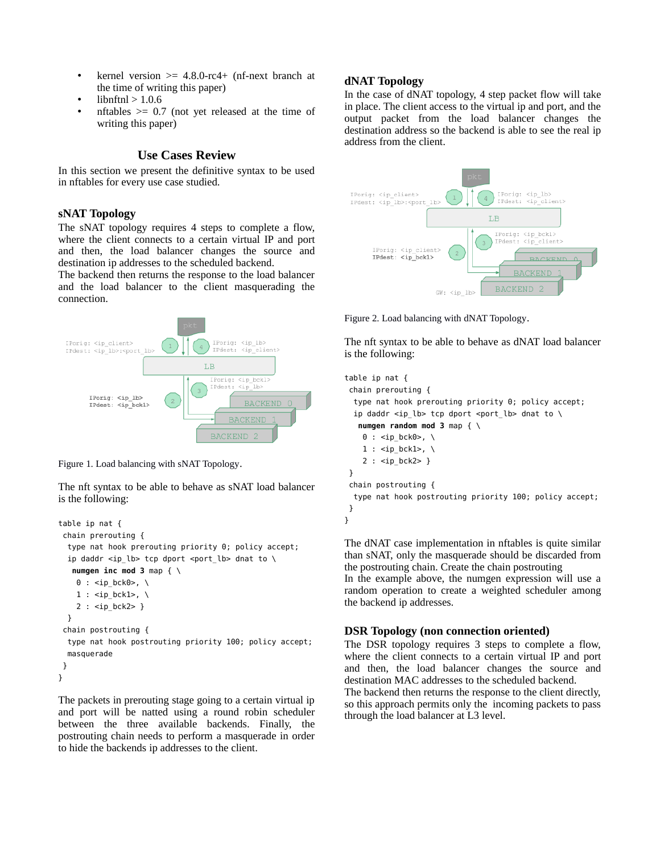- kernel version  $> = 4.8.0$ -rc4+ (nf-next branch at the time of writing this paper)
- libnftnl  $> 1.0.6$
- nftables  $\ge$  0.7 (not yet released at the time of writing this paper)

## **Use Cases Review**

In this section we present the definitive syntax to be used in nftables for every use case studied.

### **sNAT Topology**

The sNAT topology requires 4 steps to complete a flow, where the client connects to a certain virtual IP and port and then, the load balancer changes the source and destination ip addresses to the scheduled backend.

The backend then returns the response to the load balancer and the load balancer to the client masquerading the connection.



Figure 1. Load balancing with sNAT Topology.

The nft syntax to be able to behave as sNAT load balancer is the following:

```
table ip nat {
  chain prerouting {
   type nat hook prerouting priority 0; policy accept;
  ip daddr <ip_lb> tcp dport <port_lb> dnat to \
   numgen inc mod 3 map { \
   0 : <ip_bck0>, \
    1 : <ip bck1>, \
    2 : <ip bck2> }
  }
  chain postrouting {
   type nat hook postrouting priority 100; policy accept;
  masquerade
 }
}
```
The packets in prerouting stage going to a certain virtual ip and port will be natted using a round robin scheduler between the three available backends. Finally, the postrouting chain needs to perform a masquerade in order to hide the backends ip addresses to the client.

## **dNAT Topology**

In the case of dNAT topology, 4 step packet flow will take in place. The client access to the virtual ip and port, and the output packet from the load balancer changes the destination address so the backend is able to see the real ip address from the client.



Figure 2. Load balancing with dNAT Topology.

The nft syntax to be able to behave as dNAT load balancer is the following:

```
table ip nat {
  chain prerouting {
   type nat hook prerouting priority 0; policy accept;
  ip daddr <ip_lb> tcp dport <port_lb> dnat to \
    numgen random mod 3 map { \
    0 : <ip_bck0>, \
    1 : <ip_bck1>, \
    2 : <ip bck2> }
  }
  chain postrouting {
   type nat hook postrouting priority 100; policy accept;
 }
}
```
The dNAT case implementation in nftables is quite similar than sNAT, only the masquerade should be discarded from the postrouting chain. Create the chain postrouting

In the example above, the numgen expression will use a random operation to create a weighted scheduler among the backend ip addresses.

## **DSR Topology (non connection oriented)**

The DSR topology requires 3 steps to complete a flow, where the client connects to a certain virtual IP and port and then, the load balancer changes the source and destination MAC addresses to the scheduled backend.

The backend then returns the response to the client directly, so this approach permits only the incoming packets to pass through the load balancer at L3 level.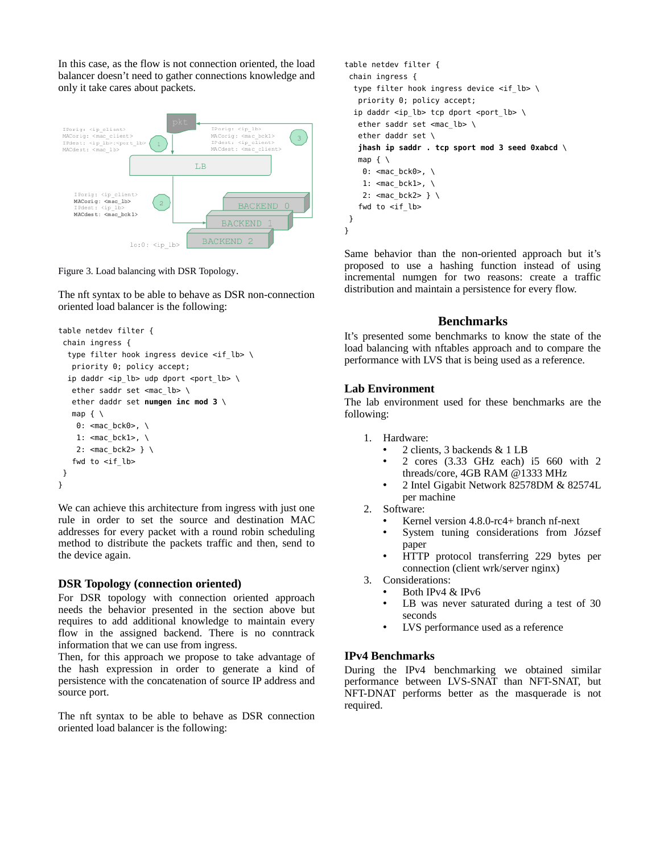In this case, as the flow is not connection oriented, the load balancer doesn't need to gather connections knowledge and only it take cares about packets.



Figure 3. Load balancing with DSR Topology.

The nft syntax to be able to behave as DSR non-connection oriented load balancer is the following:

```
table netdev filter {
 chain ingress {
  type filter hook ingress device <if_lb> \
    priority 0; policy accept;
  ip daddr <ip_lb> udp dport <port_lb> \
   ether saddr set <mac lb> \
    ether daddr set numgen inc mod 3 \
    map { \
    0: <mac_bck0>, \
    1: <mac_bck1>, \
    2: \leq mac bck2> } \
   fwd to \langleif_lb>
 }
}
```
We can achieve this architecture from ingress with just one rule in order to set the source and destination MAC addresses for every packet with a round robin scheduling method to distribute the packets traffic and then, send to the device again.

## **DSR Topology (connection oriented)**

For DSR topology with connection oriented approach needs the behavior presented in the section above but requires to add additional knowledge to maintain every flow in the assigned backend. There is no conntrack information that we can use from ingress.

Then, for this approach we propose to take advantage of the hash expression in order to generate a kind of persistence with the concatenation of source IP address and source port.

The nft syntax to be able to behave as DSR connection oriented load balancer is the following:

```
table netdev filter {
  chain ingress {
  type filter hook ingress device \langleif lb> \rangle priority 0; policy accept;
  ip daddr <ip lb> tcp dport <port lb> \
   ether saddr set <mac_lb> \
    ether daddr set \
    jhash ip saddr . tcp sport mod 3 seed 0xabcd \
   map { \setminus0: <mac_bck0>, \
    1: <mac_bck1>, \setminus 2: <mac_bck2> } \
   fwd to <if_lb>
  }
}
```
Same behavior than the non-oriented approach but it's proposed to use a hashing function instead of using incremental numgen for two reasons: create a traffic distribution and maintain a persistence for every flow.

## **Benchmarks**

It's presented some benchmarks to know the state of the load balancing with nftables approach and to compare the performance with LVS that is being used as a reference.

## **Lab Environment**

The lab environment used for these benchmarks are the following:

- 1. Hardware:
	- 2 clients, 3 backends & 1 LB
	- 2 cores (3.33 GHz each) i5 660 with 2 threads/core, 4GB RAM @1333 MHz
	- 2 Intel Gigabit Network 82578DM & 82574L per machine
- 2. Software:
	- Kernel version 4.8.0-rc4+ branch nf-next
	- System tuning considerations from József paper
	- HTTP protocol transferring 229 bytes per connection (client wrk/server nginx)
- 3. Considerations:
	- Both IPv4  $\&$  IPv6<br>• LB was never sat
		- LB was never saturated during a test of 30 seconds
		- LVS performance used as a reference

## **IPv4 Benchmarks**

During the IPv4 benchmarking we obtained similar performance between LVS-SNAT than NFT-SNAT, but NFT-DNAT performs better as the masquerade is not required.